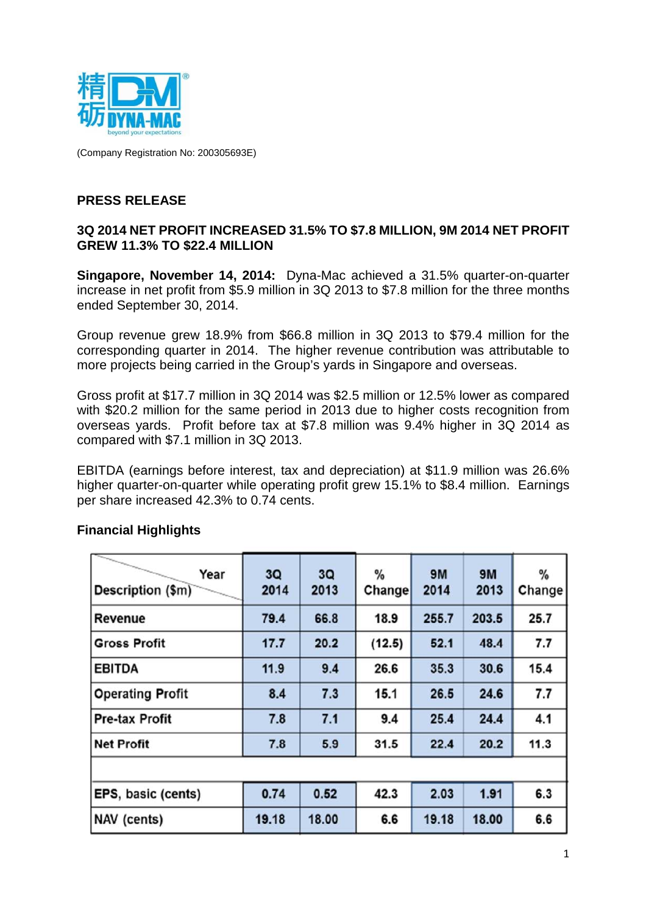

(Company Registration No: 200305693E)

### **PRESS RELEASE**

### **3Q 2014 NET PROFIT INCREASED 31.5% TO \$7.8 MILLION, 9M 2014 NET PROFIT GREW 11.3% TO \$22.4 MILLION**

**Singapore, November 14, 2014:** Dyna-Mac achieved a 31.5% quarter-on-quarter increase in net profit from \$5.9 million in 3Q 2013 to \$7.8 million for the three months ended September 30, 2014.

Group revenue grew 18.9% from \$66.8 million in 3Q 2013 to \$79.4 million for the corresponding quarter in 2014. The higher revenue contribution was attributable to more projects being carried in the Group's yards in Singapore and overseas.

Gross profit at \$17.7 million in 3Q 2014 was \$2.5 million or 12.5% lower as compared with \$20.2 million for the same period in 2013 due to higher costs recognition from overseas yards. Profit before tax at \$7.8 million was 9.4% higher in 3Q 2014 as compared with \$7.1 million in 3Q 2013.

EBITDA (earnings before interest, tax and depreciation) at \$11.9 million was 26.6% higher quarter-on-quarter while operating profit grew 15.1% to \$8.4 million. Earnings per share increased 42.3% to 0.74 cents.

| Year<br>Description (\$m) | 3Q<br>2014 | 3Q<br>2013 | %<br>Change | <b>9M</b><br>2014 | <b>9M</b><br>2013 | %<br>Change |
|---------------------------|------------|------------|-------------|-------------------|-------------------|-------------|
| Revenue                   | 79.4       | 66.8       | 18.9        | 255.7             | 203.5             | 25.7        |
| <b>Gross Profit</b>       | 17.7       | 20.2       | (12.5)      | 52.1              | 48.4              | 7.7         |
| <b>EBITDA</b>             | 11.9       | 9.4        | 26.6        | 35.3              | 30.6              | 15.4        |
| <b>Operating Profit</b>   | 8.4        | 7.3        | 15.1        | 26.5              | 24.6              | 7.7         |
| <b>Pre-tax Profit</b>     | 7.8        | 7.1        | 9.4         | 25.4              | 24.4              | 4.1         |
| Net Profit                | 7.8        | 5.9        | 31.5        | 22.4              | 20.2              | 11.3        |
|                           |            |            |             |                   |                   |             |
| EPS, basic (cents)        | 0.74       | 0.52       | 42.3        | 2.03              | 1.91              | 6.3         |
| NAV (cents)               | 19.18      | 18.00      | 6.6         | 19.18             | 18.00             | 6.6         |

### **Financial Highlights**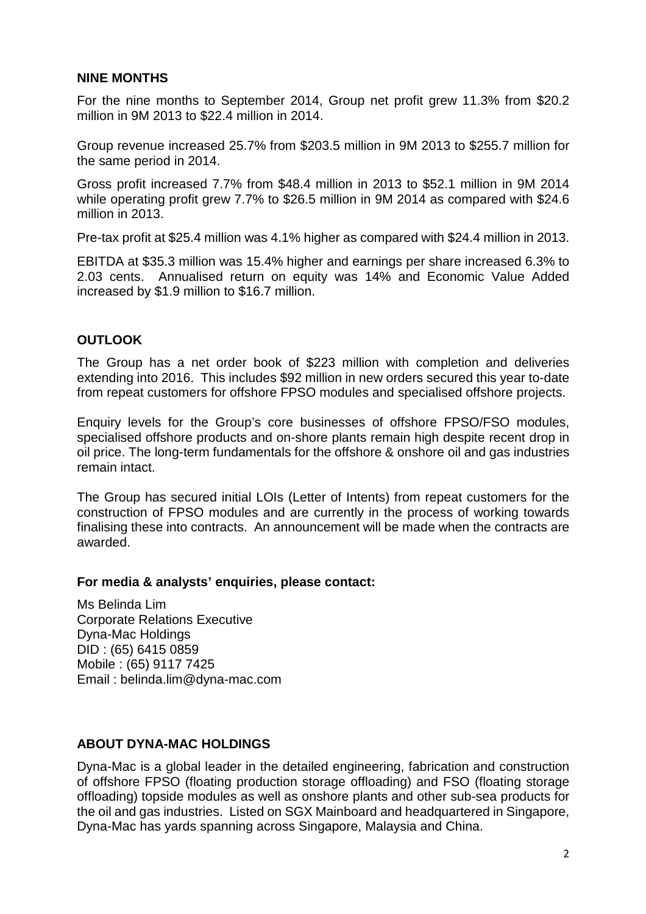### **NINE MONTHS**

For the nine months to September 2014, Group net profit grew 11.3% from \$20.2 million in 9M 2013 to \$22.4 million in 2014.

Group revenue increased 25.7% from \$203.5 million in 9M 2013 to \$255.7 million for the same period in 2014.

Gross profit increased 7.7% from \$48.4 million in 2013 to \$52.1 million in 9M 2014 while operating profit grew 7.7% to \$26.5 million in 9M 2014 as compared with \$24.6 million in 2013.

Pre-tax profit at \$25.4 million was 4.1% higher as compared with \$24.4 million in 2013.

EBITDA at \$35.3 million was 15.4% higher and earnings per share increased 6.3% to 2.03 cents. Annualised return on equity was 14% and Economic Value Added increased by \$1.9 million to \$16.7 million.

### **OUTLOOK**

The Group has a net order book of \$223 million with completion and deliveries extending into 2016. This includes \$92 million in new orders secured this year to-date from repeat customers for offshore FPSO modules and specialised offshore projects.

Enquiry levels for the Group's core businesses of offshore FPSO/FSO modules, specialised offshore products and on-shore plants remain high despite recent drop in oil price. The long-term fundamentals for the offshore & onshore oil and gas industries remain intact.

The Group has secured initial LOIs (Letter of Intents) from repeat customers for the construction of FPSO modules and are currently in the process of working towards finalising these into contracts. An announcement will be made when the contracts are awarded.

#### **For media & analysts' enquiries, please contact:**

Ms Belinda Lim Corporate Relations Executive Dyna-Mac Holdings DID : (65) 6415 0859 Mobile : (65) 9117 7425 Email : belinda.lim@dyna-mac.com

### **ABOUT DYNA-MAC HOLDINGS**

Dyna-Mac is a global leader in the detailed engineering, fabrication and construction of offshore FPSO (floating production storage offloading) and FSO (floating storage offloading) topside modules as well as onshore plants and other sub-sea products for the oil and gas industries. Listed on SGX Mainboard and headquartered in Singapore, Dyna-Mac has yards spanning across Singapore, Malaysia and China.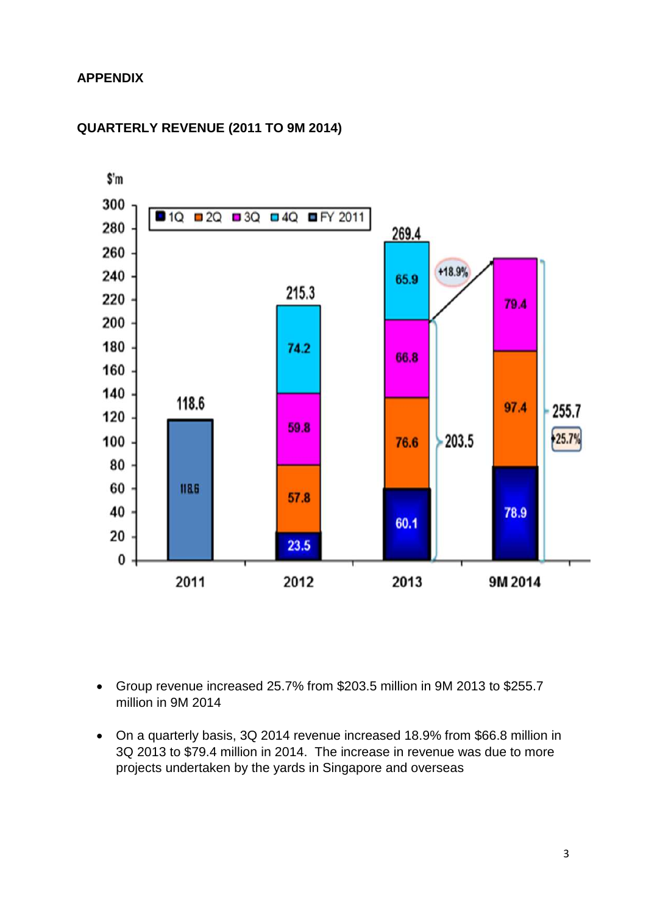## **APPENDIX**



## **QUARTERLY REVENUE (2011 TO 9M 2014)**

- Group revenue increased 25.7% from \$203.5 million in 9M 2013 to \$255.7 million in 9M 2014
- On a quarterly basis, 3Q 2014 revenue increased 18.9% from \$66.8 million in 3Q 2013 to \$79.4 million in 2014. The increase in revenue was due to more projects undertaken by the yards in Singapore and overseas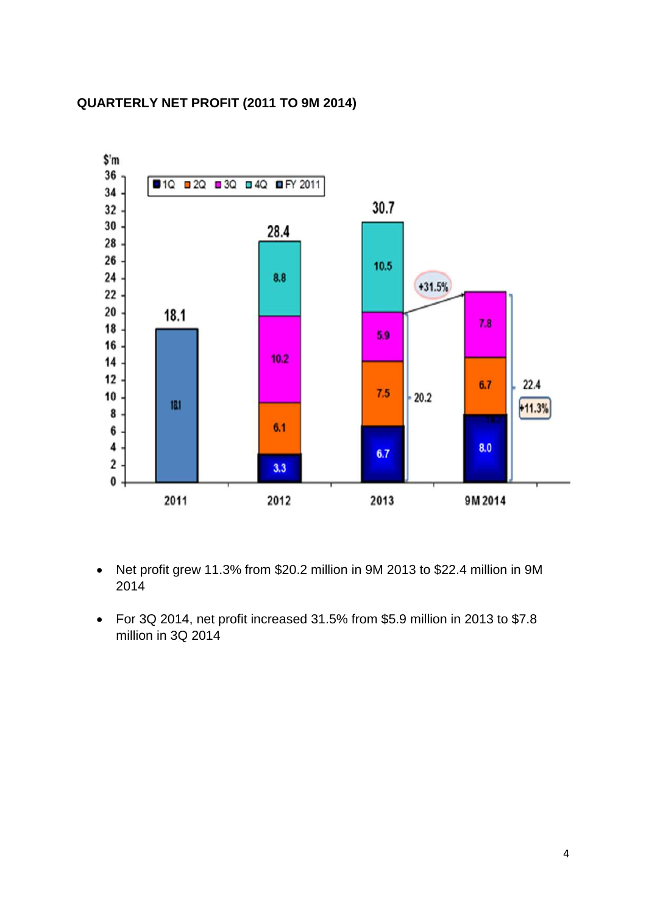# **QUARTERLY NET PROFIT (2011 TO 9M 2014)**



- Net profit grew 11.3% from \$20.2 million in 9M 2013 to \$22.4 million in 9M 2014
- For 3Q 2014, net profit increased 31.5% from \$5.9 million in 2013 to \$7.8 million in 3Q 2014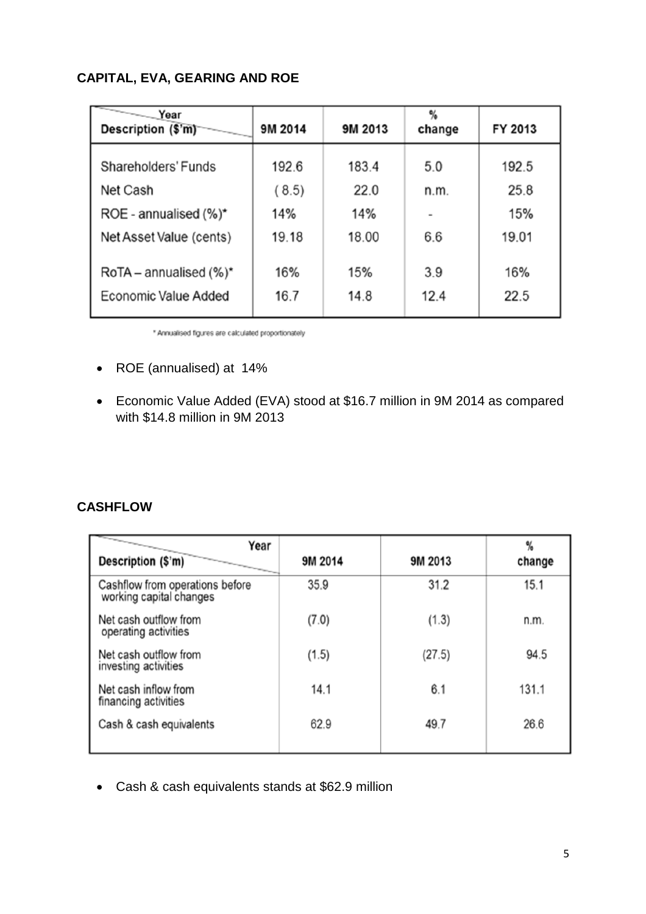# **CAPITAL, EVA, GEARING AND ROE**

| $\overline{\phantom{a}}$<br>Year<br>Description (\$'m) | 9M 2014 | 9M 2013 | %<br>change | FY 2013 |
|--------------------------------------------------------|---------|---------|-------------|---------|
| <b>Shareholders' Funds</b>                             | 192.6   | 183.4   | 5.0         | 192.5   |
| Net Cash                                               | (8.5)   | 22.0    | n.m.        | 25.8    |
| ROE - annualised $(\%)^{\star}$                        | 14%     | 14%     |             | 15%     |
| Net Asset Value (cents)                                | 19.18   | 18.00   | 6.6         | 19.01   |
| $RoTA$ – annualised (%)*                               | 16%     | 15%     | 3.9         | 16%     |
| Economic Value Added                                   | 16.7    | 14.8    | 12.4        | 22.5    |

\* Annualised figures are calculated proportionately

- ROE (annualised) at 14%
- Economic Value Added (EVA) stood at \$16.7 million in 9M 2014 as compared with \$14.8 million in 9M 2013

## **CASHFLOW**

| 9M 2014 | 9M 2013 | %<br>change |
|---------|---------|-------------|
| 35.9    | 31.2    | 15.1        |
| (7.0)   | (1.3)   | n.m.        |
| (1.5)   | (27.5)  | 94.5        |
| 14.1    | 6.1     | 131.1       |
| 62.9    | 49.7    | 26.6        |
|         |         |             |

Cash & cash equivalents stands at \$62.9 million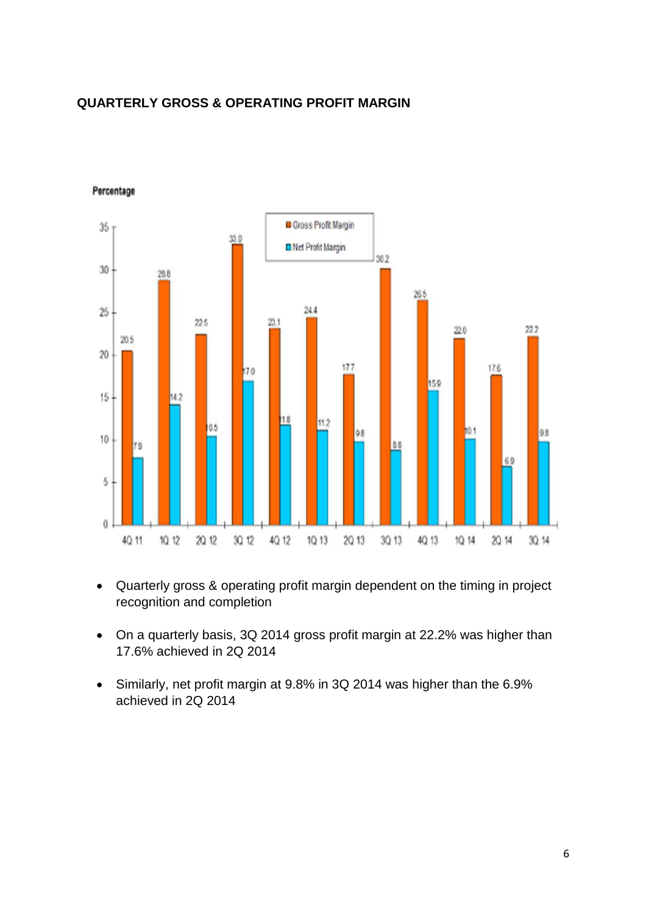## **QUARTERLY GROSS & OPERATING PROFIT MARGIN**



#### Percentage

- Quarterly gross & operating profit margin dependent on the timing in project recognition and completion
- On a quarterly basis, 3Q 2014 gross profit margin at 22.2% was higher than 17.6% achieved in 2Q 2014
- Similarly, net profit margin at 9.8% in 3Q 2014 was higher than the 6.9% achieved in 2Q 2014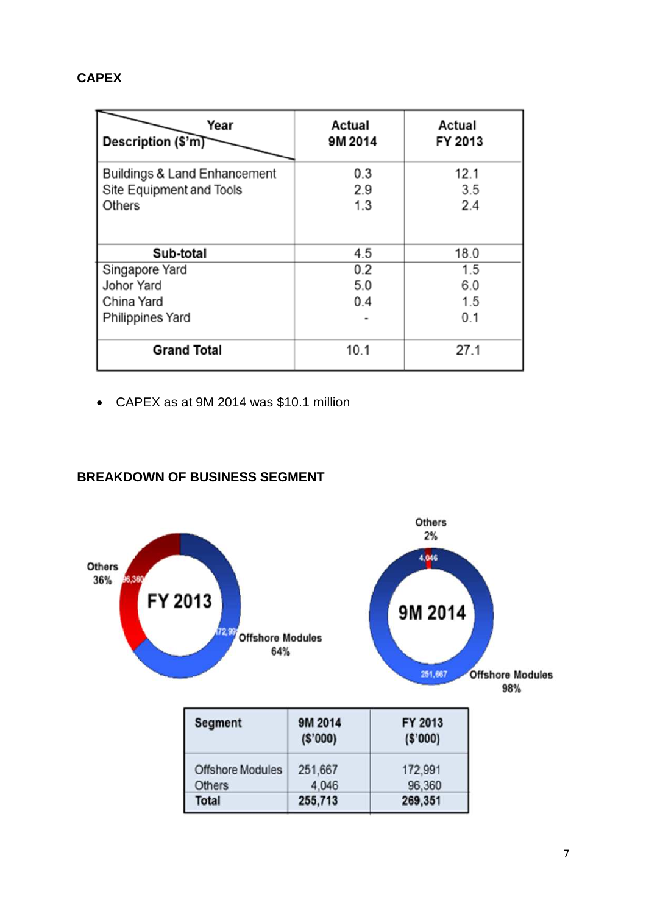## **CAPEX**

| Year<br>Description (\$'m)                                          | Actual<br>9M 2014 | Actual<br>FY 2013 |
|---------------------------------------------------------------------|-------------------|-------------------|
| <b>Buildings &amp; Land Enhancement</b><br>Site Equipment and Tools | 0.3<br>2.9        | 12.1<br>3.5       |
| <b>Others</b>                                                       | 1.3               | 2.4               |
| Sub-total                                                           | 4.5               | 18.0              |
| Singapore Yard                                                      | 0.2               | 1.5               |
| <b>Johor Yard</b>                                                   | 5.0               | 6.0               |
| China Yard                                                          | 0.4               | 1.5               |
| <b>Philippines Yard</b>                                             |                   | 0.1               |
| <b>Grand Total</b>                                                  | 10.1              | 27.1              |

CAPEX as at 9M 2014 was \$10.1 million

## **BREAKDOWN OF BUSINESS SEGMENT**

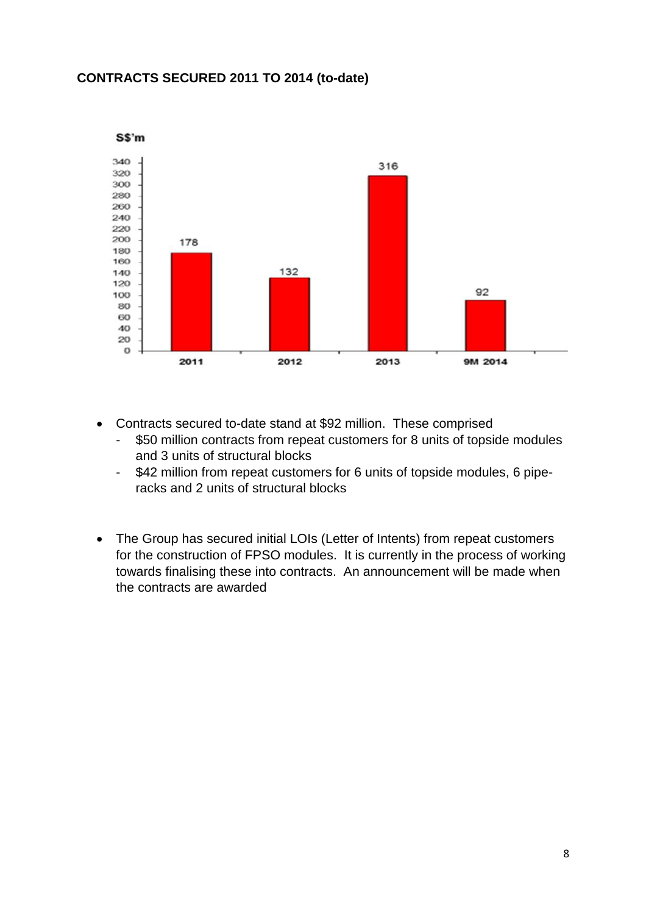## **CONTRACTS SECURED 2011 TO 2014 (to-date)**



- Contracts secured to-date stand at \$92 million. These comprised
	- \$50 million contracts from repeat customers for 8 units of topside modules and 3 units of structural blocks
	- \$42 million from repeat customers for 6 units of topside modules, 6 piperacks and 2 units of structural blocks
- The Group has secured initial LOIs (Letter of Intents) from repeat customers for the construction of FPSO modules. It is currently in the process of working towards finalising these into contracts. An announcement will be made when the contracts are awarded